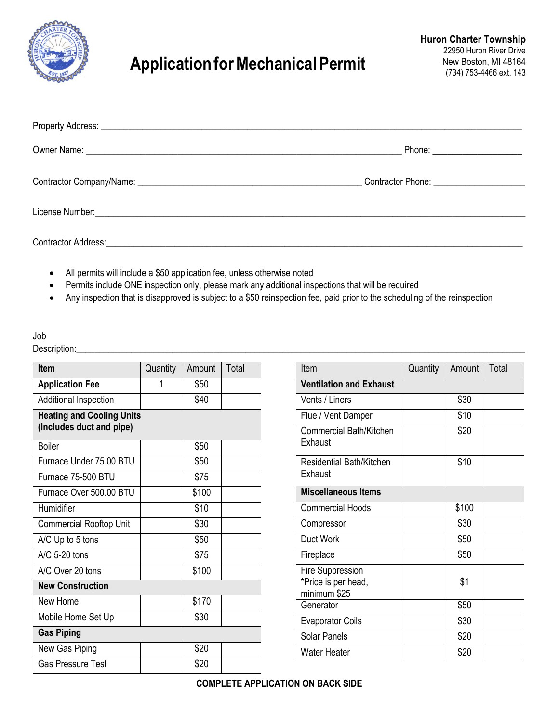

## **ApplicationforMechanicalPermit**

| Phone: ______________________ |
|-------------------------------|
|                               |
|                               |
|                               |

- All permits will include a \$50 application fee, unless otherwise noted
- Permits include ONE inspection only, please mark any additional inspections that will be required
- Any inspection that is disapproved is subject to a \$50 reinspection fee, paid prior to the scheduling of the reinspection

## Job

Description:\_\_\_\_\_\_\_\_\_\_\_\_\_\_\_\_\_\_\_\_\_\_\_\_\_\_\_\_\_\_\_\_\_\_\_\_\_\_\_\_\_\_\_\_\_\_\_\_\_\_\_\_\_\_\_\_\_\_\_\_\_\_\_\_\_\_\_\_\_\_\_\_\_\_\_\_\_\_\_\_\_\_\_\_\_\_\_\_\_\_\_\_\_\_\_\_\_\_

| <b>Ifem</b>                                                  | Quantity | Amount | Total |  |  |
|--------------------------------------------------------------|----------|--------|-------|--|--|
| <b>Application Fee</b>                                       | 1        | \$50   |       |  |  |
| Additional Inspection                                        |          | \$40   |       |  |  |
| <b>Heating and Cooling Units</b><br>(Includes duct and pipe) |          |        |       |  |  |
| <b>Boiler</b>                                                |          | \$50   |       |  |  |
| Furnace Under 75.00 BTU                                      |          | \$50   |       |  |  |
| Furnace 75-500 BTU                                           |          | \$75   |       |  |  |
| Furnace Over 500.00 BTU                                      |          | \$100  |       |  |  |
| Humidifier                                                   |          | \$10   |       |  |  |
| <b>Commercial Rooftop Unit</b>                               |          | \$30   |       |  |  |
| A/C Up to 5 tons                                             |          | \$50   |       |  |  |
| $\triangle$ A/C 5-20 tons                                    |          | \$75   |       |  |  |
| A/C Over 20 tons                                             |          | \$100  |       |  |  |
| <b>New Construction</b>                                      |          |        |       |  |  |
| New Home                                                     |          | \$170  |       |  |  |
| Mobile Home Set Up                                           |          | \$30   |       |  |  |
| <b>Gas Piping</b>                                            |          |        |       |  |  |
| New Gas Piping                                               |          | \$20   |       |  |  |
| <b>Gas Pressure Test</b>                                     |          | \$20   |       |  |  |

| Item                                                           | Quantity | Amount | Total |  |
|----------------------------------------------------------------|----------|--------|-------|--|
| <b>Ventilation and Exhaust</b>                                 |          |        |       |  |
| Vents / Liners                                                 |          | \$30   |       |  |
| Flue / Vent Damper                                             |          | \$10   |       |  |
| Commercial Bath/Kitchen<br>Exhaust                             |          | \$20   |       |  |
| Residential Bath/Kitchen<br>Exhaust                            |          | \$10   |       |  |
| <b>Miscellaneous Items</b>                                     |          |        |       |  |
| <b>Commercial Hoods</b>                                        |          | \$100  |       |  |
| Compressor                                                     |          | \$30   |       |  |
| Duct Work                                                      |          | \$50   |       |  |
| Fireplace                                                      |          | \$50   |       |  |
| <b>Fire Suppression</b><br>*Price is per head,<br>minimum \$25 |          | \$1    |       |  |
| Generator                                                      |          | \$50   |       |  |
| <b>Evaporator Coils</b>                                        |          | \$30   |       |  |
| Solar Panels                                                   |          | \$20   |       |  |
| <b>Water Heater</b>                                            |          | \$20   |       |  |